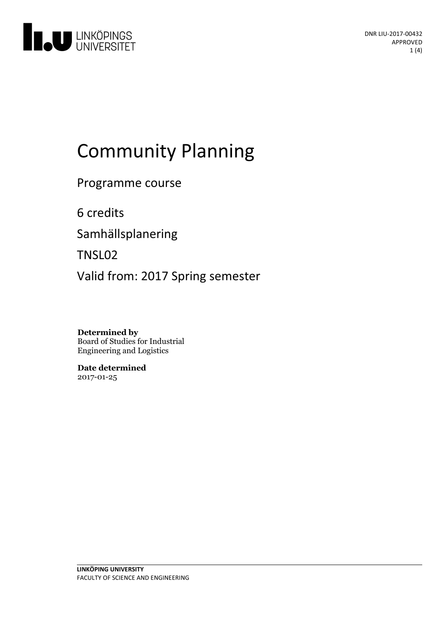

# Community Planning

Programme course

6 credits

Samhällsplanering

TNSL02

Valid from: 2017 Spring semester

**Determined by** Board of Studies for Industrial Engineering and Logistics

**Date determined** 2017-01-25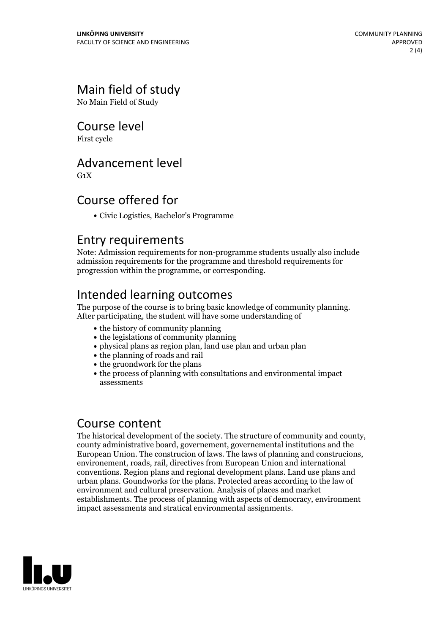# Main field of study

No Main Field of Study

#### Course level

First cycle

#### Advancement level

 $G_1X$ 

#### Course offered for

Civic Logistics, Bachelor's Programme

#### Entry requirements

Note: Admission requirements for non-programme students usually also include admission requirements for the programme and threshold requirements for progression within the programme, or corresponding.

## Intended learning outcomes

The purpose of the course is to bring basic knowledge of community planning.<br>After participating, the student will have some understanding of

- the history of community planning
- the legislations of community planning
- physical plans as region plan, land use plan and urban plan
- the planning of roads and rail
- the gruondwork for the plans
- the process of planning with consultations and environmental impact assessments

#### Course content

The historical development of the society. The structure of community and county, county administrative board, governement, governemental institutions and the European Union. The construcion of laws. The laws of planning and construcions, environement, roads, rail, directives from European Union and international conventions. Region plans and regional development plans. Land use plans and urban plans. Goundworks for the plans. Protected areas according to the law of environment and cultural preservation. Analysis of places and market establishments. The process of planning with aspects of democracy, environment impact assessments and stratical environmental assignments.

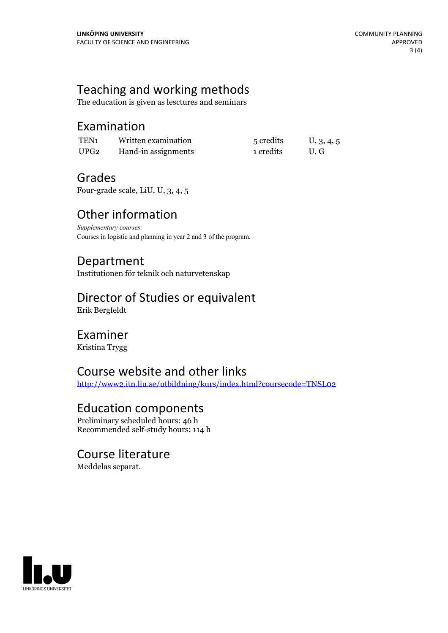## Teaching and working methods

The education is given as lesctures and seminars

#### Examination

| TEN1 | Written examination | 5 credits | U, 3, 4, 5 |
|------|---------------------|-----------|------------|
| UPG2 | Hand-in assignments | 1 credits | U.G        |

## Grades

Four-grade scale, LiU, U, 3, 4, 5

# Other information

*Supplementary courses:* Courses in logistic and planning in year 2 and 3 of the program.

## Department

Institutionen för teknik och naturvetenskap

# Director of Studies or equivalent

Erik Bergfeldt

#### Examiner

Kristina Trygg

#### Course website and other links

<http://www2.itn.liu.se/utbildning/kurs/index.html?coursecode=TNSL02>

## Education components

Preliminary scheduled hours: 46 h Recommended self-study hours: 114 h

#### Course literature

Meddelas separat.